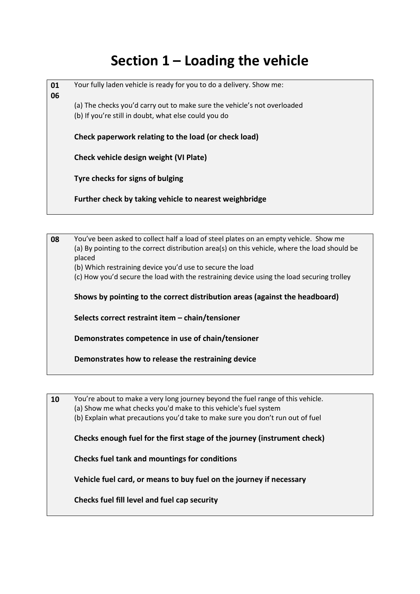## **Section 1 – Loading the vehicle**

| 01<br>06 | Your fully laden vehicle is ready for you to do a delivery. Show me:                                                             |
|----------|----------------------------------------------------------------------------------------------------------------------------------|
|          | (a) The checks you'd carry out to make sure the vehicle's not overloaded<br>(b) If you're still in doubt, what else could you do |
|          |                                                                                                                                  |
|          | Check paperwork relating to the load (or check load)                                                                             |
|          | Check vehicle design weight (VI Plate)                                                                                           |
|          | Tyre checks for signs of bulging                                                                                                 |
|          | Further check by taking vehicle to nearest weighbridge                                                                           |
|          |                                                                                                                                  |

**08** You've been asked to collect half a load of steel plates on an empty vehicle. Show me (a) By pointing to the correct distribution area(s) on this vehicle, where the load should be placed (b) Which restraining device you'd use to secure the load

(c) How you'd secure the load with the restraining device using the load securing trolley

**Shows by pointing to the correct distribution areas (against the headboard)**

**Selects correct restraint item – chain/tensioner**

**Demonstrates competence in use of chain/tensioner**

**Demonstrates how to release the restraining device**

**10** You're about to make a very long journey beyond the fuel range of this vehicle. (a) Show me what checks you'd make to this vehicle's fuel system (b) Explain what precautions you'd take to make sure you don't run out of fuel **Checks enough fuel for the first stage of the journey (instrument check) Checks fuel tank and mountings for conditions Vehicle fuel card, or means to buy fuel on the journey if necessary Checks fuel fill level and fuel cap security**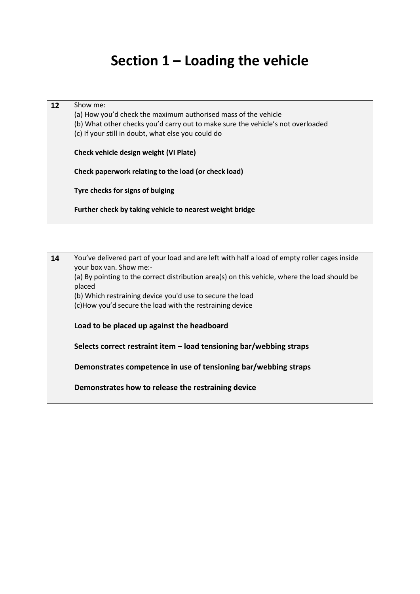### **Section 1 – Loading the vehicle**

| 12 | Show me:<br>(a) How you'd check the maximum authorised mass of the vehicle<br>(b) What other checks you'd carry out to make sure the vehicle's not overloaded<br>(c) If your still in doubt, what else you could do |
|----|---------------------------------------------------------------------------------------------------------------------------------------------------------------------------------------------------------------------|
|    | Check vehicle design weight (VI Plate)                                                                                                                                                                              |
|    | Check paperwork relating to the load (or check load)                                                                                                                                                                |
|    | Tyre checks for signs of bulging                                                                                                                                                                                    |
|    | Further check by taking vehicle to nearest weight bridge                                                                                                                                                            |

**14** You've delivered part of your load and are left with half a load of empty roller cages inside your box van. Show me:- (a) By pointing to the correct distribution area(s) on this vehicle, where the load should be placed (b) Which restraining device you'd use to secure the load (c)How you'd secure the load with the restraining device **Load to be placed up against the headboard Selects correct restraint item – load tensioning bar/webbing straps Demonstrates competence in use of tensioning bar/webbing straps Demonstrates how to release the restraining device**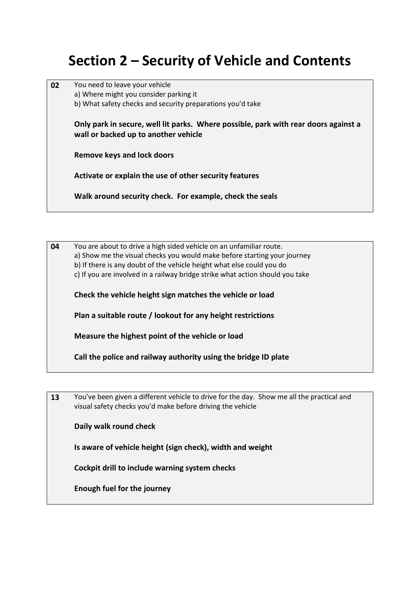### **Section 2 – Security of Vehicle and Contents**

| 02 | You need to leave your vehicle                                                                                              |  |  |  |  |  |
|----|-----------------------------------------------------------------------------------------------------------------------------|--|--|--|--|--|
|    | a) Where might you consider parking it                                                                                      |  |  |  |  |  |
|    | b) What safety checks and security preparations you'd take                                                                  |  |  |  |  |  |
|    | Only park in secure, well lit parks. Where possible, park with rear doors against a<br>wall or backed up to another vehicle |  |  |  |  |  |
|    | Remove keys and lock doors                                                                                                  |  |  |  |  |  |
|    | Activate or explain the use of other security features                                                                      |  |  |  |  |  |
|    | Walk around security check. For example, check the seals                                                                    |  |  |  |  |  |

**04** You are about to drive a high sided vehicle on an unfamiliar route. a) Show me the visual checks you would make before starting your journey b) If there is any doubt of the vehicle height what else could you do c) If you are involved in a railway bridge strike what action should you take

**Check the vehicle height sign matches the vehicle or load**

**Plan a suitable route / lookout for any height restrictions**

**Measure the highest point of the vehicle or load**

**Call the police and railway authority using the bridge ID plate**

**13** You've been given a different vehicle to drive for the day. Show me all the practical and visual safety checks you'd make before driving the vehicle

**Daily walk round check**

**Is aware of vehicle height (sign check), width and weight**

**Cockpit drill to include warning system checks**

**Enough fuel for the journey**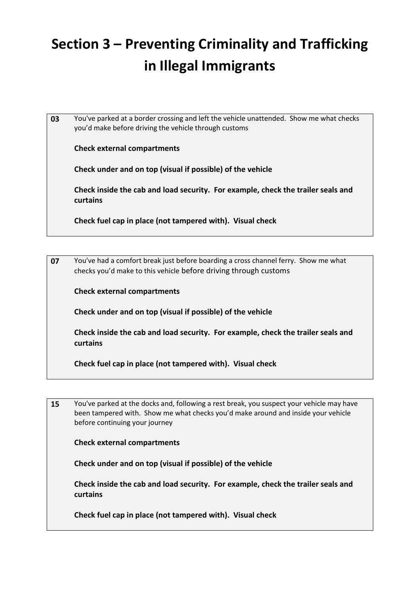# **Section 3 – Preventing Criminality and Trafficking in Illegal Immigrants**

**03** You've parked at a border crossing and left the vehicle unattended. Show me what checks you'd make before driving the vehicle through customs

**Check external compartments**

**Check under and on top (visual if possible) of the vehicle**

**Check inside the cab and load security. For example, check the trailer seals and curtains**

**Check fuel cap in place (not tampered with). Visual check**

**07** You've had a comfort break just before boarding a cross channel ferry. Show me what checks you'd make to this vehicle before driving through customs

**Check external compartments**

**Check under and on top (visual if possible) of the vehicle**

**Check inside the cab and load security. For example, check the trailer seals and curtains**

**Check fuel cap in place (not tampered with). Visual check**

**15** You've parked at the docks and, following a rest break, you suspect your vehicle may have been tampered with. Show me what checks you'd make around and inside your vehicle before continuing your journey

**Check external compartments**

**Check under and on top (visual if possible) of the vehicle**

**Check inside the cab and load security. For example, check the trailer seals and curtains**

**Check fuel cap in place (not tampered with). Visual check**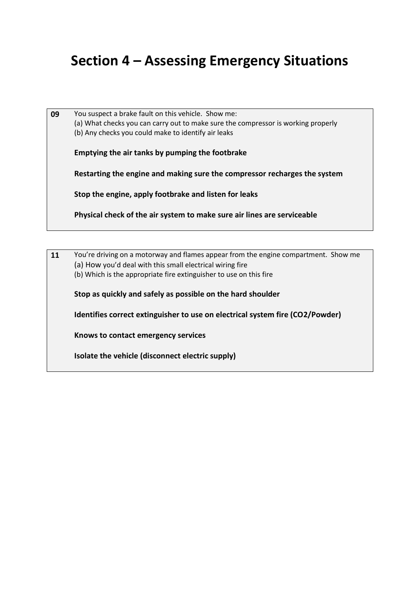#### **Section 4 – Assessing Emergency Situations**

**09** You suspect a brake fault on this vehicle. Show me: (a) What checks you can carry out to make sure the compressor is working properly (b) Any checks you could make to identify air leaks **Emptying the air tanks by pumping the footbrake Restarting the engine and making sure the compressor recharges the system Stop the engine, apply footbrake and listen for leaks Physical check of the air system to make sure air lines are serviceable**

**11** You're driving on a motorway and flames appear from the engine compartment. Show me (a) How you'd deal with this small electrical wiring fire (b) Which is the appropriate fire extinguisher to use on this fire **Stop as quickly and safely as possible on the hard shoulder Identifies correct extinguisher to use on electrical system fire (CO2/Powder) Knows to contact emergency services Isolate the vehicle (disconnect electric supply)**